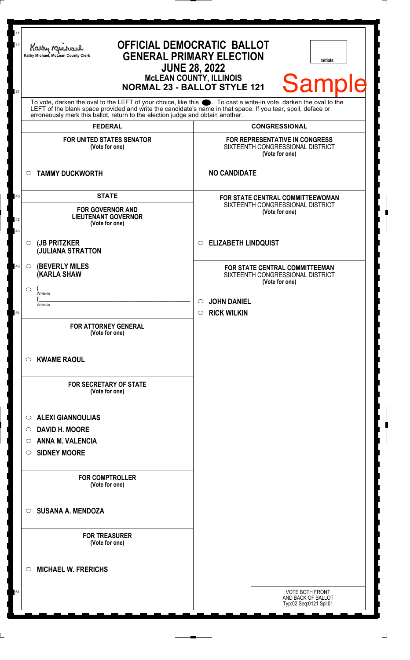|                     | Kathy Michael<br>Kathy Michael, McLean County Clerk                                                                                                                                                                                  | <b>OFFICIAL DEMOCRATIC BALLOT</b><br><b>GENERAL PRIMARY ELECTION</b><br><b>Initials</b><br><b>JUNE 28, 2022</b><br><b>MCLEAN COUNTY, ILLINOIS</b> |
|---------------------|--------------------------------------------------------------------------------------------------------------------------------------------------------------------------------------------------------------------------------------|---------------------------------------------------------------------------------------------------------------------------------------------------|
|                     | To vote, darken the oval to the LEFT of your choice, like this $\bullet$ . To cast a write-in vote, darken the oval to the LEFT of the blank space provided and write the candidate's name in that space. If you tear, spoil, deface | <b>Sample</b><br><b>NORMAL 23 - BALLOT STYLE 121</b>                                                                                              |
|                     | erroneously mark this ballot, return to the election judge and obtain another.<br><b>FEDERAL</b>                                                                                                                                     | <b>CONGRESSIONAL</b>                                                                                                                              |
|                     | <b>FOR UNITED STATES SENATOR</b><br>(Vote for one)                                                                                                                                                                                   | <b>FOR REPRESENTATIVE IN CONGRESS</b><br>SIXTEENTH CONGRESSIONAL DISTRICT<br>(Vote for one)                                                       |
| $\circ$             | <b>TAMMY DUCKWORTH</b>                                                                                                                                                                                                               | <b>NO CANDIDATE</b>                                                                                                                               |
|                     | <b>STATE</b><br><b>FOR GOVERNOR AND</b><br><b>LIEUTENANT GOVERNOR</b><br>(Vote for one)                                                                                                                                              | FOR STATE CENTRAL COMMITTEEWOMAN<br>SIXTEENTH CONGRESSIONAL DISTRICT<br>(Vote for one)                                                            |
| $\circ$             | (JB PRITZKER<br><b>JULIANA STRATTON</b>                                                                                                                                                                                              | <b>ELIZABETH LINDQUIST</b><br>$\circ$                                                                                                             |
| $\circ$             | <b>(BEVERLY MILES)</b><br><b>KARLA SHAW</b>                                                                                                                                                                                          | FOR STATE CENTRAL COMMITTEEMAN<br>SIXTEENTH CONGRESSIONAL DISTRICT<br>(Vote for one)                                                              |
| $\circlearrowright$ | Write-in<br>Write-in                                                                                                                                                                                                                 | <b>JOHN DANIEL</b><br>O<br><b>RICK WILKIN</b><br>$\circ$                                                                                          |
|                     | <b>FOR ATTORNEY GENERAL</b><br>(Vote for one)                                                                                                                                                                                        |                                                                                                                                                   |
| $\circ$             | <b>KWAME RAOUL</b>                                                                                                                                                                                                                   |                                                                                                                                                   |
|                     | <b>FOR SECRETARY OF STATE</b><br>(Vote for one)                                                                                                                                                                                      |                                                                                                                                                   |
| $\circ$             | <b>ALEXI GIANNOULIAS</b>                                                                                                                                                                                                             |                                                                                                                                                   |
| $\circ$             | <b>DAVID H. MOORE</b>                                                                                                                                                                                                                |                                                                                                                                                   |
| $\circ$             | <b>ANNA M. VALENCIA</b>                                                                                                                                                                                                              |                                                                                                                                                   |
| $\circ$             | <b>SIDNEY MOORE</b>                                                                                                                                                                                                                  |                                                                                                                                                   |
|                     | <b>FOR COMPTROLLER</b><br>(Vote for one)                                                                                                                                                                                             |                                                                                                                                                   |
| $\circ$             | <b>SUSANA A. MENDOZA</b>                                                                                                                                                                                                             |                                                                                                                                                   |
|                     | <b>FOR TREASURER</b><br>(Vote for one)                                                                                                                                                                                               |                                                                                                                                                   |
| $\circ$             | <b>MICHAEL W. FRERICHS</b>                                                                                                                                                                                                           |                                                                                                                                                   |
|                     |                                                                                                                                                                                                                                      | <b>VOTE BOTH FRONT</b><br>AND BACK OF BALLOT<br>Typ:02 Seq:0121 Spl:01                                                                            |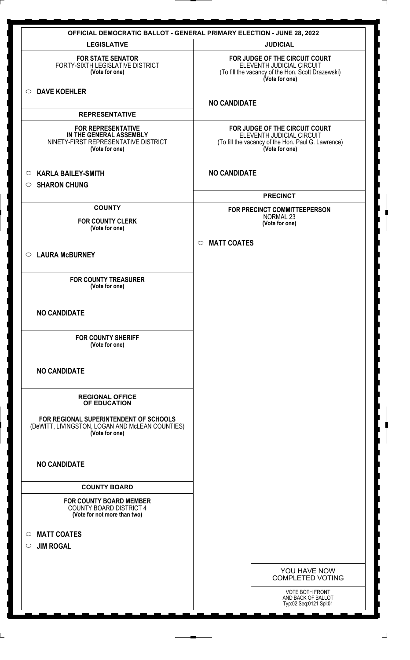| <b>OFFICIAL DEMOCRATIC BALLOT - GENERAL PRIMARY ELECTION - JUNE 28, 2022</b>                                   |                                                                                                                                     |  |
|----------------------------------------------------------------------------------------------------------------|-------------------------------------------------------------------------------------------------------------------------------------|--|
| <b>LEGISLATIVE</b>                                                                                             | <b>JUDICIAL</b>                                                                                                                     |  |
| <b>FOR STATE SENATOR</b><br>FORTY-SIXTH LEGISLATIVE DISTRICT<br>(Vote for one)                                 | FOR JUDGE OF THE CIRCUIT COURT<br>ELEVENTH JUDICIAL CIRCUIT<br>(To fill the vacancy of the Hon. Scott Drazewski)<br>(Vote for one)  |  |
| <b>DAVE KOEHLER</b><br>$\circ$                                                                                 | <b>NO CANDIDATE</b>                                                                                                                 |  |
| <b>REPRESENTATIVE</b>                                                                                          |                                                                                                                                     |  |
| <b>FOR REPRESENTATIVE</b><br>IN THE GENERAL ASSEMBLY<br>NINETY-FIRST REPRESENTATIVE DISTRICT<br>(Vote for one) | FOR JUDGE OF THE CIRCUIT COURT<br>ELEVENTH JUDICIAL CIRCUIT<br>(To fill the vacancy of the Hon. Paul G. Lawrence)<br>(Vote for one) |  |
| <b>KARLA BAILEY-SMITH</b><br>$\circ$<br><b>SHARON CHUNG</b><br>$\circ$                                         | <b>NO CANDIDATE</b>                                                                                                                 |  |
|                                                                                                                | <b>PRECINCT</b>                                                                                                                     |  |
| <b>COUNTY</b>                                                                                                  | FOR PRECINCT COMMITTEEPERSON<br><b>NORMAL 23</b>                                                                                    |  |
| <b>FOR COUNTY CLERK</b><br>(Vote for one)                                                                      | (Vote for one)                                                                                                                      |  |
|                                                                                                                |                                                                                                                                     |  |
| <b>LAURA McBURNEY</b><br>$\circ$                                                                               | <b>MATT COATES</b><br>$\circ$                                                                                                       |  |
|                                                                                                                |                                                                                                                                     |  |
| <b>FOR COUNTY TREASURER</b><br>(Vote for one)                                                                  |                                                                                                                                     |  |
| <b>NO CANDIDATE</b>                                                                                            |                                                                                                                                     |  |
| <b>FOR COUNTY SHERIFF</b><br>(Vote for one)                                                                    |                                                                                                                                     |  |
| <b>NO CANDIDATE</b>                                                                                            |                                                                                                                                     |  |
| <b>REGIONAL OFFICE</b><br>OF EDUCATION                                                                         |                                                                                                                                     |  |
| FOR REGIONAL SUPERINTENDENT OF SCHOOLS<br>(DeWITT, LIVINGSTON, LOGAN AND McLEAN COUNTIES)<br>(Vote for one)    |                                                                                                                                     |  |
| <b>NO CANDIDATE</b>                                                                                            |                                                                                                                                     |  |
| <b>COUNTY BOARD</b>                                                                                            |                                                                                                                                     |  |
| <b>FOR COUNTY BOARD MEMBER</b><br><b>COUNTY BOARD DISTRICT 4</b><br>(Vote for not more than two)               |                                                                                                                                     |  |
| <b>MATT COATES</b><br>$\circ$                                                                                  |                                                                                                                                     |  |
| <b>JIM ROGAL</b><br>$\circ$                                                                                    |                                                                                                                                     |  |
|                                                                                                                |                                                                                                                                     |  |
|                                                                                                                | YOU HAVE NOW<br><b>COMPLETED VOTING</b>                                                                                             |  |
|                                                                                                                | VOTE BOTH FRONT<br>AND BACK OF BALLOT<br>Typ:02 Seq:0121 Spl:01                                                                     |  |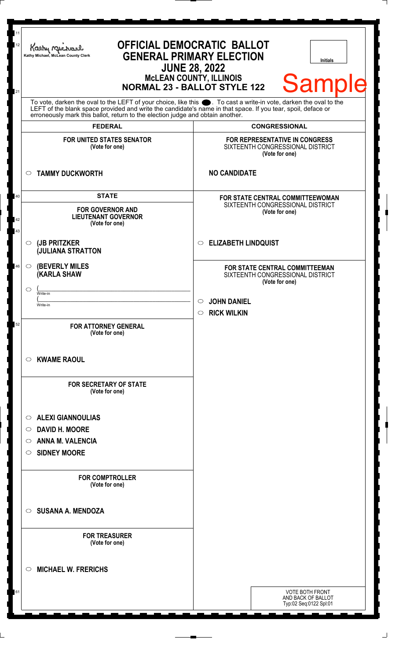| 11<br>12 | Kathy Michael<br>Kathy Michael, McLean County Clerk                                                                                                                                                                                  | <b>OFFICIAL DEMOCRATIC BALLOT</b><br><b>GENERAL PRIMARY ELECTION</b><br><b>Initials</b><br><b>JUNE 28, 2022</b><br><b>MCLEAN COUNTY, ILLINOIS</b> |
|----------|--------------------------------------------------------------------------------------------------------------------------------------------------------------------------------------------------------------------------------------|---------------------------------------------------------------------------------------------------------------------------------------------------|
| 21       | To vote, darken the oval to the LEFT of your choice, like this $\bullet$ . To cast a write-in vote, darken the oval to the LEFT of the blank space provided and write the candidate's name in that space. If you tear, spoil, deface | <b>Sample</b><br><b>NORMAL 23 - BALLOT STYLE 122</b>                                                                                              |
|          | erroneously mark this ballot, return to the election judge and obtain another.<br><b>FEDERAL</b>                                                                                                                                     | <b>CONGRESSIONAL</b>                                                                                                                              |
|          | <b>FOR UNITED STATES SENATOR</b><br>(Vote for one)                                                                                                                                                                                   | <b>FOR REPRESENTATIVE IN CONGRESS</b><br>SIXTEENTH CONGRESSIONAL DISTRICT<br>(Vote for one)                                                       |
|          | <b>TAMMY DUCKWORTH</b><br>$\circ$                                                                                                                                                                                                    | <b>NO CANDIDATE</b>                                                                                                                               |
| 40<br>42 | <b>STATE</b><br><b>FOR GOVERNOR AND</b><br><b>LIEUTENANT GOVERNOR</b><br>(Vote for one)                                                                                                                                              | FOR STATE CENTRAL COMMITTEEWOMAN<br>SIXTEENTH CONGRESSIONAL DISTRICT<br>(Vote for one)                                                            |
| 43       | (JB PRITZKER<br>$\circ$<br><b>JULIANA STRATTON</b>                                                                                                                                                                                   | <b>ELIZABETH LINDQUIST</b><br>$\circ$                                                                                                             |
| 46       | <b>(BEVERLY MILES)</b><br>$\circ$<br><b>KARLA SHAW</b>                                                                                                                                                                               | FOR STATE CENTRAL COMMITTEEMAN<br>SIXTEENTH CONGRESSIONAL DISTRICT<br>(Vote for one)                                                              |
|          | $\circlearrowright$<br>Write-in<br>Write-in                                                                                                                                                                                          | <b>JOHN DANIEL</b><br>O<br><b>RICK WILKIN</b><br>$\circ$                                                                                          |
| 52       | <b>FOR ATTORNEY GENERAL</b><br>(Vote for one)                                                                                                                                                                                        |                                                                                                                                                   |
|          | <b>KWAME RAOUL</b><br>$\circ$                                                                                                                                                                                                        |                                                                                                                                                   |
|          | <b>FOR SECRETARY OF STATE</b><br>(Vote for one)                                                                                                                                                                                      |                                                                                                                                                   |
|          | <b>ALEXI GIANNOULIAS</b><br>$\circ$                                                                                                                                                                                                  |                                                                                                                                                   |
|          | <b>DAVID H. MOORE</b><br>$\circ$                                                                                                                                                                                                     |                                                                                                                                                   |
|          | <b>ANNA M. VALENCIA</b><br>$\circ$<br><b>SIDNEY MOORE</b><br>$\circ$                                                                                                                                                                 |                                                                                                                                                   |
|          | <b>FOR COMPTROLLER</b><br>(Vote for one)                                                                                                                                                                                             |                                                                                                                                                   |
|          | <b>SUSANA A. MENDOZA</b><br>$\circ$                                                                                                                                                                                                  |                                                                                                                                                   |
|          | <b>FOR TREASURER</b><br>(Vote for one)                                                                                                                                                                                               |                                                                                                                                                   |
|          | <b>MICHAEL W. FRERICHS</b><br>$\circ$                                                                                                                                                                                                |                                                                                                                                                   |
| 61       |                                                                                                                                                                                                                                      | <b>VOTE BOTH FRONT</b><br>AND BACK OF BALLOT<br>Typ:02 Seq:0122 Spl:01                                                                            |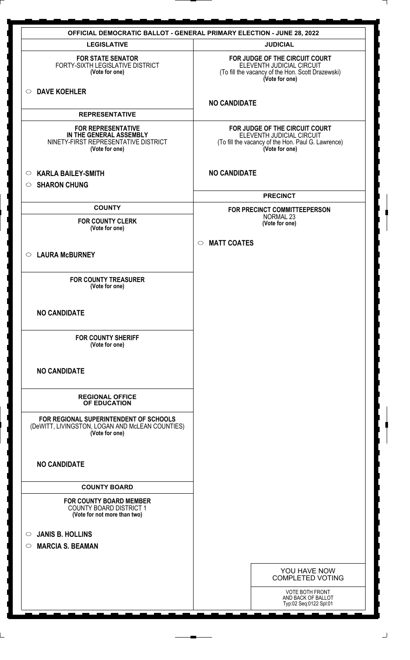| <b>OFFICIAL DEMOCRATIC BALLOT - GENERAL PRIMARY ELECTION - JUNE 28, 2022</b>                                   |                                                                                                                                     |  |
|----------------------------------------------------------------------------------------------------------------|-------------------------------------------------------------------------------------------------------------------------------------|--|
| <b>LEGISLATIVE</b>                                                                                             | <b>JUDICIAL</b>                                                                                                                     |  |
| <b>FOR STATE SENATOR</b><br>FORTY-SIXTH LEGISLATIVE DISTRICT<br>(Vote for one)                                 | FOR JUDGE OF THE CIRCUIT COURT<br>ELEVENTH JUDICIAL CIRCUIT<br>(To fill the vacancy of the Hon. Scott Drazewski)<br>(Vote for one)  |  |
| <b>DAVE KOEHLER</b><br>$\circ$                                                                                 | <b>NO CANDIDATE</b>                                                                                                                 |  |
| <b>REPRESENTATIVE</b>                                                                                          |                                                                                                                                     |  |
| <b>FOR REPRESENTATIVE</b><br>IN THE GENERAL ASSEMBLY<br>NINETY-FIRST REPRESENTATIVE DISTRICT<br>(Vote for one) | FOR JUDGE OF THE CIRCUIT COURT<br>ELEVENTH JUDICIAL CIRCUIT<br>(To fill the vacancy of the Hon. Paul G. Lawrence)<br>(Vote for one) |  |
| <b>KARLA BAILEY-SMITH</b><br>$\circ$                                                                           | <b>NO CANDIDATE</b>                                                                                                                 |  |
| <b>SHARON CHUNG</b><br>$\circ$                                                                                 |                                                                                                                                     |  |
|                                                                                                                | <b>PRECINCT</b>                                                                                                                     |  |
| <b>COUNTY</b>                                                                                                  | FOR PRECINCT COMMITTEEPERSON<br>NORMAL 23                                                                                           |  |
| <b>FOR COUNTY CLERK</b><br>(Vote for one)                                                                      | (Vote for one)                                                                                                                      |  |
| ○ LAURA McBURNEY                                                                                               | <b>MATT COATES</b><br>$\circ$                                                                                                       |  |
| <b>FOR COUNTY TREASURER</b><br>(Vote for one)                                                                  |                                                                                                                                     |  |
| <b>NO CANDIDATE</b>                                                                                            |                                                                                                                                     |  |
| <b>FOR COUNTY SHERIFF</b><br>(Vote for one)                                                                    |                                                                                                                                     |  |
| <b>NO CANDIDATE</b>                                                                                            |                                                                                                                                     |  |
| <b>REGIONAL OFFICE</b><br>OF EDUCATION                                                                         |                                                                                                                                     |  |
| FOR REGIONAL SUPERINTENDENT OF SCHOOLS<br>(DeWITT, LIVINGSTON, LOGAN AND McLEAN COUNTIES)<br>(Vote for one)    |                                                                                                                                     |  |
| <b>NO CANDIDATE</b>                                                                                            |                                                                                                                                     |  |
| <b>COUNTY BOARD</b>                                                                                            |                                                                                                                                     |  |
| <b>FOR COUNTY BOARD MEMBER</b><br><b>COUNTY BOARD DISTRICT 1</b><br>(Vote for not more than two)               |                                                                                                                                     |  |
| <b>JANIS B. HOLLINS</b><br>$\circ$<br><b>MARCIA S. BEAMAN</b><br>$\circ$                                       |                                                                                                                                     |  |
|                                                                                                                |                                                                                                                                     |  |
|                                                                                                                | YOU HAVE NOW<br><b>COMPLETED VOTING</b>                                                                                             |  |
|                                                                                                                | <b>VOTE BOTH FRONT</b>                                                                                                              |  |
|                                                                                                                | AND BACK OF BALLOT<br>Typ:02 Seq:0122 Spl:01                                                                                        |  |
|                                                                                                                |                                                                                                                                     |  |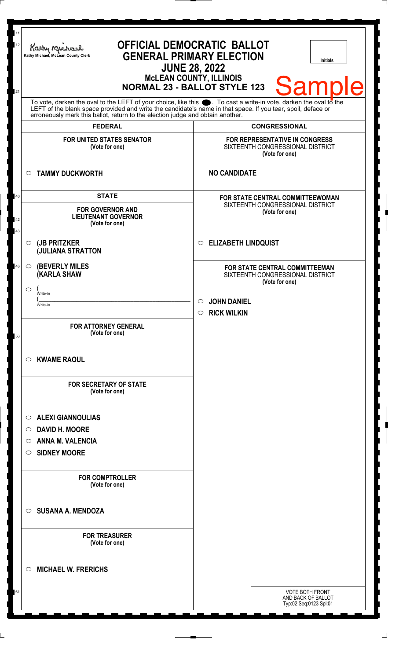| 12       | Kathy Muc<br>Kathy Michael, McLean County Clerk                                                                                                                                                                                                                                                                        | <b>OFFICIAL DEMOCRATIC BALLOT</b><br><b>GENERAL PRIMARY ELECTION</b><br><b>Initials</b><br><b>JUNE 28, 2022</b> |
|----------|------------------------------------------------------------------------------------------------------------------------------------------------------------------------------------------------------------------------------------------------------------------------------------------------------------------------|-----------------------------------------------------------------------------------------------------------------|
| 21       |                                                                                                                                                                                                                                                                                                                        | <b>MCLEAN COUNTY, ILLINOIS</b><br><b>Sample</b><br><b>NORMAL 23 - BALLOT STYLE 123</b>                          |
|          | To vote, darken the oval to the LEFT of your choice, like this $\bullet$ . To cast a write-in vote, darken the oval to the LEFT of the blank space provided and write the candidate's name in that space. If you tear, spoil, deface<br>erroneously mark this ballot, return to the election judge and obtain another. |                                                                                                                 |
|          | <b>FEDERAL</b>                                                                                                                                                                                                                                                                                                         | <b>CONGRESSIONAL</b>                                                                                            |
|          | <b>FOR UNITED STATES SENATOR</b><br>(Vote for one)                                                                                                                                                                                                                                                                     | FOR REPRESENTATIVE IN CONGRESS<br>SIXTEENTH CONGRESSIONAL DISTRICT<br>(Vote for one)                            |
|          | <b>TAMMY DUCKWORTH</b><br>$\circ$                                                                                                                                                                                                                                                                                      | <b>NO CANDIDATE</b>                                                                                             |
| 40       | <b>STATE</b>                                                                                                                                                                                                                                                                                                           | FOR STATE CENTRAL COMMITTEEWOMAN                                                                                |
| 42<br>43 | <b>FOR GOVERNOR AND</b><br><b>LIEUTENANT GOVERNOR</b><br>(Vote for one)                                                                                                                                                                                                                                                | SIXTEENTH CONGRESSIONAL DISTRICT<br>(Vote for one)                                                              |
|          | (JB PRITZKER<br>$\circ$<br><b>JULIANA STRATTON</b>                                                                                                                                                                                                                                                                     | <b>ELIZABETH LINDQUIST</b><br>$\circ$                                                                           |
| 46       | <b>(BEVERLY MILES)</b><br>$\circ$<br><b>(KARLA SHAW</b>                                                                                                                                                                                                                                                                | FOR STATE CENTRAL COMMITTEEMAN<br>SIXTEENTH CONGRESSIONAL DISTRICT<br>(Vote for one)                            |
|          | $\circlearrowright$<br>Write-in                                                                                                                                                                                                                                                                                        |                                                                                                                 |
|          | Write-in                                                                                                                                                                                                                                                                                                               | <b>JOHN DANIEL</b>                                                                                              |
|          |                                                                                                                                                                                                                                                                                                                        | <b>RICK WILKIN</b><br>$\circ$                                                                                   |
| 53       | <b>FOR ATTORNEY GENERAL</b><br>(Vote for one)                                                                                                                                                                                                                                                                          |                                                                                                                 |
|          | <b>KWAME RAOUL</b><br>$\circ$                                                                                                                                                                                                                                                                                          |                                                                                                                 |
|          | <b>FOR SECRETARY OF STATE</b><br>(Vote for one)                                                                                                                                                                                                                                                                        |                                                                                                                 |
|          | <b>ALEXI GIANNOULIAS</b><br>$\circ$                                                                                                                                                                                                                                                                                    |                                                                                                                 |
|          | <b>DAVID H. MOORE</b><br>$\circ$                                                                                                                                                                                                                                                                                       |                                                                                                                 |
|          | <b>ANNA M. VALENCIA</b><br>O                                                                                                                                                                                                                                                                                           |                                                                                                                 |
|          | <b>SIDNEY MOORE</b><br>O                                                                                                                                                                                                                                                                                               |                                                                                                                 |
|          | <b>FOR COMPTROLLER</b><br>(Vote for one)                                                                                                                                                                                                                                                                               |                                                                                                                 |
|          | <b>SUSANA A. MENDOZA</b><br>$\circ$                                                                                                                                                                                                                                                                                    |                                                                                                                 |
|          | <b>FOR TREASURER</b><br>(Vote for one)                                                                                                                                                                                                                                                                                 |                                                                                                                 |
|          | <b>MICHAEL W. FRERICHS</b><br>$\circlearrowright$                                                                                                                                                                                                                                                                      |                                                                                                                 |
| 61       |                                                                                                                                                                                                                                                                                                                        | <b>VOTE BOTH FRONT</b><br>AND BACK OF BALLOT<br>Typ:02 Seq:0123 Spl:01                                          |

 $\Box$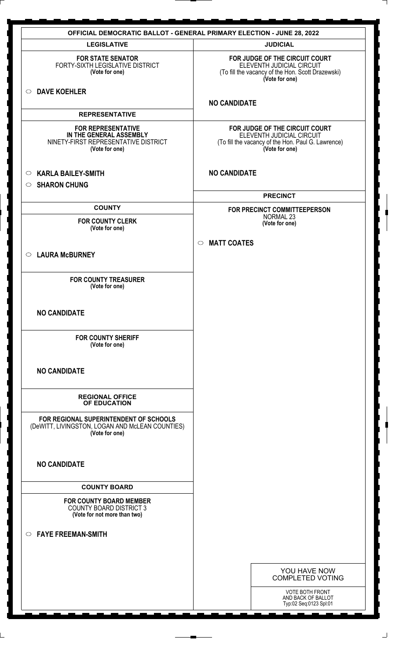| <b>OFFICIAL DEMOCRATIC BALLOT - GENERAL PRIMARY ELECTION - JUNE 28, 2022</b>                                   |                                                                                                                                     |  |
|----------------------------------------------------------------------------------------------------------------|-------------------------------------------------------------------------------------------------------------------------------------|--|
| <b>LEGISLATIVE</b>                                                                                             | <b>JUDICIAL</b>                                                                                                                     |  |
| <b>FOR STATE SENATOR</b><br>FORTY-SIXTH LEGISLATIVE DISTRICT<br>(Vote for one)                                 | FOR JUDGE OF THE CIRCUIT COURT<br>ELEVENTH JUDICIAL CIRCUIT<br>(To fill the vacancy of the Hon. Scott Drazewski)<br>(Vote for one)  |  |
| <b>DAVE KOEHLER</b><br>$\circ$                                                                                 | <b>NO CANDIDATE</b>                                                                                                                 |  |
| <b>REPRESENTATIVE</b>                                                                                          |                                                                                                                                     |  |
| <b>FOR REPRESENTATIVE</b><br>IN THE GENERAL ASSEMBLY<br>NINETY-FIRST REPRESENTATIVE DISTRICT<br>(Vote for one) | FOR JUDGE OF THE CIRCUIT COURT<br>ELEVENTH JUDICIAL CIRCUIT<br>(To fill the vacancy of the Hon. Paul G. Lawrence)<br>(Vote for one) |  |
| <b>KARLA BAILEY-SMITH</b><br>$\circ$                                                                           | <b>NO CANDIDATE</b>                                                                                                                 |  |
| <b>SHARON CHUNG</b><br>$\circ$                                                                                 |                                                                                                                                     |  |
|                                                                                                                | <b>PRECINCT</b>                                                                                                                     |  |
| <b>COUNTY</b>                                                                                                  | FOR PRECINCT COMMITTEEPERSON                                                                                                        |  |
| <b>FOR COUNTY CLERK</b>                                                                                        | NORMAL 23<br>(Vote for one)                                                                                                         |  |
| (Vote for one)                                                                                                 |                                                                                                                                     |  |
| ○ LAURA McBURNEY                                                                                               | <b>MATT COATES</b><br>$\circ$                                                                                                       |  |
| <b>FOR COUNTY TREASURER</b><br>(Vote for one)                                                                  |                                                                                                                                     |  |
| <b>NO CANDIDATE</b>                                                                                            |                                                                                                                                     |  |
| <b>FOR COUNTY SHERIFF</b><br>(Vote for one)                                                                    |                                                                                                                                     |  |
| <b>NO CANDIDATE</b>                                                                                            |                                                                                                                                     |  |
| <b>REGIONAL OFFICE</b><br>OF EDUCATION                                                                         |                                                                                                                                     |  |
| FOR REGIONAL SUPERINTENDENT OF SCHOOLS<br>(DeWITT, LIVINGSTON, LOGAN AND McLEAN COUNTIES)<br>(Vote for one)    |                                                                                                                                     |  |
| <b>NO CANDIDATE</b>                                                                                            |                                                                                                                                     |  |
| <b>COUNTY BOARD</b>                                                                                            |                                                                                                                                     |  |
| <b>FOR COUNTY BOARD MEMBER</b><br><b>COUNTY BOARD DISTRICT 3</b><br>(Vote for not more than two)               |                                                                                                                                     |  |
| <b>FAYE FREEMAN-SMITH</b><br>$\circ$                                                                           |                                                                                                                                     |  |
|                                                                                                                |                                                                                                                                     |  |
|                                                                                                                | YOU HAVE NOW<br><b>COMPLETED VOTING</b>                                                                                             |  |
|                                                                                                                | <b>VOTE BOTH FRONT</b><br>AND BACK OF BALLOT<br>Typ:02 Seq:0123 Spl:01                                                              |  |
|                                                                                                                |                                                                                                                                     |  |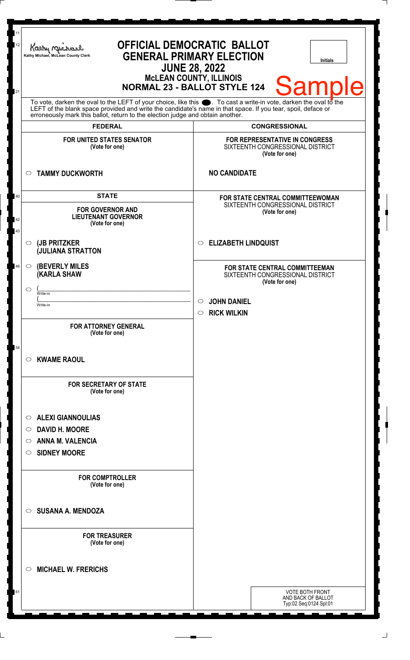| 11<br>12 | Kathy Myr<br>Kathy Michael, McLean County Clerk                                                                                                                                                | <b>OFFICIAL DEMOCRATIC BALLOT</b><br><b>GENERAL PRIMARY ELECTION</b><br><b>Initials</b><br><b>JUNE 28, 2022</b><br><b>McLEAN COUNTY, ILLINOIS</b> |
|----------|------------------------------------------------------------------------------------------------------------------------------------------------------------------------------------------------|---------------------------------------------------------------------------------------------------------------------------------------------------|
| 21       | To vote, darken the oval to the LEFT of your choice, like this $\bullet$ . To cast a write-in vote, darken the oval to the                                                                     | <b>Sample</b><br><b>NORMAL 23 - BALLOT STYLE 124</b>                                                                                              |
|          | LEFT of the blank space provided and write the candidate's name in that space. If you tear, spoil, deface or<br>erroneously mark this ballot, return to the election judge and obtain another. |                                                                                                                                                   |
|          | <b>FEDERAL</b>                                                                                                                                                                                 | <b>CONGRESSIONAL</b>                                                                                                                              |
|          | <b>FOR UNITED STATES SENATOR</b><br>(Vote for one)                                                                                                                                             | FOR REPRESENTATIVE IN CONGRESS<br>SIXTEENTH CONGRESSIONAL DISTRICT<br>(Vote for one)                                                              |
|          | <b>TAMMY DUCKWORTH</b><br>$\circ$                                                                                                                                                              | <b>NO CANDIDATE</b>                                                                                                                               |
| 40       | <b>STATE</b>                                                                                                                                                                                   | <b>FOR STATE CENTRAL COMMITTEEWOMAN</b>                                                                                                           |
| 42<br>43 | <b>FOR GOVERNOR AND</b><br><b>LIEUTENANT GOVERNOR</b><br>(Vote for one)                                                                                                                        | SIXTEENTH CONGRESSIONAL DISTRICT<br>(Vote for one)                                                                                                |
|          | (JB PRITZKER<br>$\circ$<br><b>JULIANA STRATTON</b>                                                                                                                                             | <b>ELIZABETH LINDQUIST</b><br>$\circ$                                                                                                             |
| 46       | <b>(BEVERLY MILES)</b><br>$\circ$<br><b>KARLA SHAW</b>                                                                                                                                         | FOR STATE CENTRAL COMMITTEEMAN<br>SIXTEENTH CONGRESSIONAL DISTRICT<br>(Vote for one)                                                              |
|          | $\circlearrowright$<br>Write-in<br>Write-in                                                                                                                                                    | <b>JOHN DANIEL</b>                                                                                                                                |
|          | <b>FOR ATTORNEY GENERAL</b><br>(Vote for one)                                                                                                                                                  | <b>RICK WILKIN</b><br>$\circ$                                                                                                                     |
| 54       | <b>KWAME RAOUL</b><br>$\circ$                                                                                                                                                                  |                                                                                                                                                   |
|          | <b>FOR SECRETARY OF STATE</b><br>(Vote for one)                                                                                                                                                |                                                                                                                                                   |
|          | <b>ALEXI GIANNOULIAS</b><br>$\circ$                                                                                                                                                            |                                                                                                                                                   |
|          | <b>DAVID H. MOORE</b><br>$\circ$                                                                                                                                                               |                                                                                                                                                   |
|          | <b>ANNA M. VALENCIA</b><br>$\circ$                                                                                                                                                             |                                                                                                                                                   |
|          | <b>SIDNEY MOORE</b><br>O                                                                                                                                                                       |                                                                                                                                                   |
|          | <b>FOR COMPTROLLER</b><br>(Vote for one)                                                                                                                                                       |                                                                                                                                                   |
|          | <b>SUSANA A. MENDOZA</b><br>$\circ$                                                                                                                                                            |                                                                                                                                                   |
|          | <b>FOR TREASURER</b><br>(Vote for one)                                                                                                                                                         |                                                                                                                                                   |
|          | <b>MICHAEL W. FRERICHS</b><br>$\circlearrowright$                                                                                                                                              |                                                                                                                                                   |
| 61       |                                                                                                                                                                                                | <b>VOTE BOTH FRONT</b><br>AND BACK OF BALLOT<br>Typ:02 Seq:0124 Spl:01                                                                            |